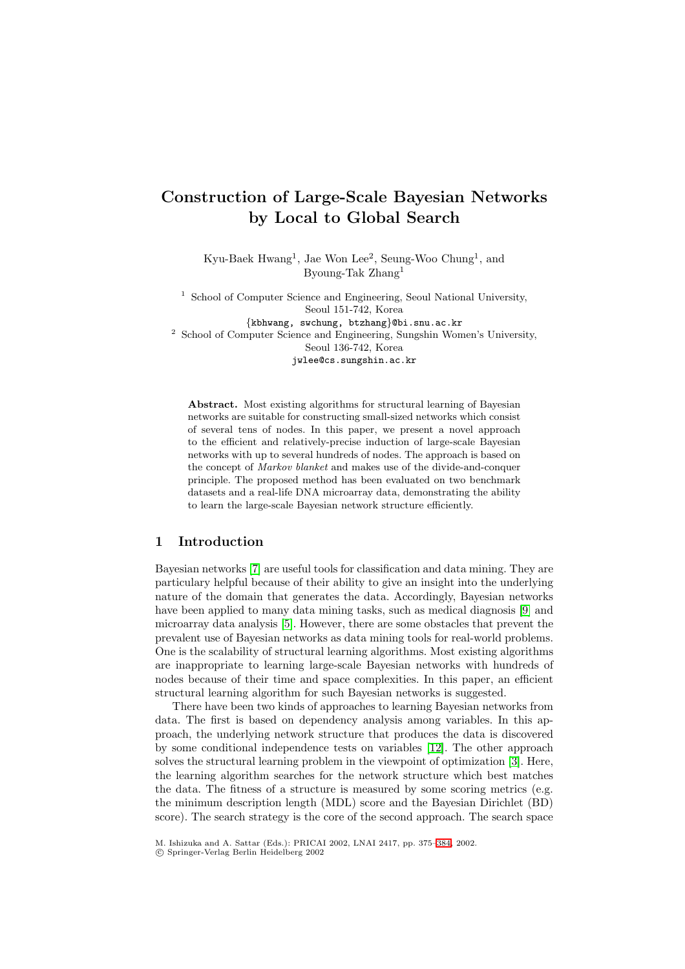# **Construction of Large-Scale Bayesian Networks by Local to Global Search**

Kyu-Baek Hwang<sup>1</sup>, Jae Won Lee<sup>2</sup>, Seung-Woo Chung<sup>1</sup>, and Byoung-Tak Zhang<sup>1</sup>

<sup>1</sup> School of Computer Science and Engineering, Seoul National University, Seoul 151-742, Korea

{kbhwang, swchung, btzhang}@bi.snu.ac.kr

<sup>2</sup> School of Computer Science and Engineering, Sungshin Women's University, Seoul 136-742, Korea

jwlee@cs.sungshin.ac.kr

**Abstract.** Most existing algorithms for structural learning of Bayesian networks are suitable for constructing small-sized networks which consist of several tens of nodes. In this paper, we present a novel approach to the efficient and relatively-precise induction of large-scale Bayesian networks with up to several hundreds of nodes. The approach is based on the concept of Markov blanket and makes use of the divide-and-conquer principle. The proposed method has been evaluated on two benchmark datasets and a real-life DNA microarray data, demonstrating the ability to learn the large-scale Bayesian network structure efficiently.

## **1 Introduction**

Bayesian networks [\[7\]](#page-9-0) are useful tools for classification and data mining. They are particulary helpful because of their ability to give an insight into the underlying nature of the domain that generates the data. Accordingly, Bayesian networks have been applied to many data mining tasks, such as medical diagnosis [\[9\]](#page-9-0) and microarray data analysis [\[5\]](#page-9-0). However, there are some obstacles that prevent the prevalent use of Bayesian networks as data mining tools for real-world problems. One is the scalability of structural learning algorithms. Most existing algorithms are inappropriate to learning large-scale Bayesian networks with hundreds of nodes because of their time and space complexities. In this paper, an efficient structural learning algorithm for such Bayesian networks is suggested.

There have been two kinds of approaches to learning Bayesian networks from data. The first is based on dependency analysis among variables. In this approach, the underlying network structure that produces the data is discovered by some conditionalindependence tests on variables [\[12\]](#page-9-0). The other approach solves the structural learning problem in the viewpoint of optimization [\[3\]](#page-9-0). Here, the learning algorithm searches for the network structure which best matches the data. The fitness of a structure is measured by some scoring metrics (e.g. the minimum description length (MDL) score and the Bayesian Dirichlet (BD) score). The search strategy is the core of the second approach. The search space

c Springer-Verlag Berlin Heidelberg 2002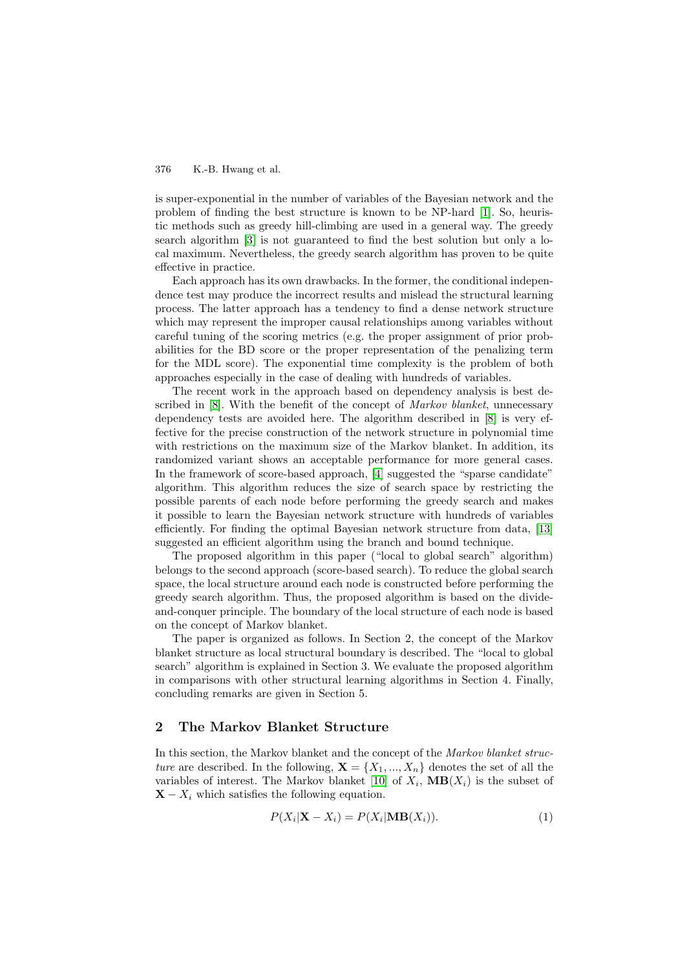is super-exponentialin the number of variables of the Bayesian network and the problem of finding the best structure is known to be NP-hard [\[1\]](#page-8-0). So, heuristic methods such as greedy hill-climbing are used in a general way. The greedy search algorithm [\[3\]](#page-9-0) is not guaranteed to find the best solution but only a local maximum. Nevertheless, the greedy search algorithm has proven to be quite effective in practice.

Each approach has its own drawbacks. In the former, the conditionalindependence test may produce the incorrect results and mislead the structural learning process. The latter approach has a tendency to find a dense network structure which may represent the improper causal relationships among variables without careful tuning of the scoring metrics (e.g. the proper assignment of prior probabilities for the BD score or the proper representation of the penalizing term for the MDL score). The exponential time complexity is the problem of both approaches especially in the case of dealing with hundreds of variables.

The recent work in the approach based on dependency analysis is best de-scribed in [\[8\]](#page-9-0). With the benefit of the concept of *Markov blanket*, unnecessary dependency tests are avoided here. The algorithm described in [\[8\]](#page-9-0) is very effective for the precise construction of the network structure in polynomial time with restrictions on the maximum size of the Markov blanket. In addition, its randomized variant shows an acceptable performance for more general cases. In the framework of score-based approach, [\[4\]](#page-9-0) suggested the "sparse candidate" algorithm. This algorithm reduces the size of search space by restricting the possible parents of each node before performing the greedy search and makes it possible to learn the Bayesian network structure with hundreds of variables efficiently. For finding the optimal Bayesian network structure from data, [\[13\]](#page-9-0) suggested an efficient algorithm using the branch and bound technique.

The proposed algorithm in this paper ("local to global search" algorithm) belongs to the second approach (score-based search). To reduce the global search space, the local structure around each node is constructed before performing the greedy search algorithm. Thus, the proposed algorithm is based on the divideand-conquer principle. The boundary of the local structure of each node is based on the concept of Markov blanket.

The paper is organized as follows. In Section 2, the concept of the Markov blanket structure as local structural boundary is described. The "local to global search" algorithm is explained in Section 3. We evaluate the proposed algorithm in comparisons with other structural learning algorithms in Section 4. Finally, concluding remarks are given in Section 5.

### **2** The Markov Blanket Structure

In this section, the Markov blanket and the concept of the Markov blanket structure are described. In the following,  $\mathbf{X} = \{X_1, ..., X_n\}$  denotes the set of all the variables of interest. The Markov blanket [\[10\]](#page-9-0) of  $X_i$ ,  $MB(X_i)$  is the subset of  $\mathbf{X} - X_i$  which satisfies the following equation.

$$
P(X_i|\mathbf{X} - X_i) = P(X_i|\mathbf{MB}(X_i)).
$$
\n(1)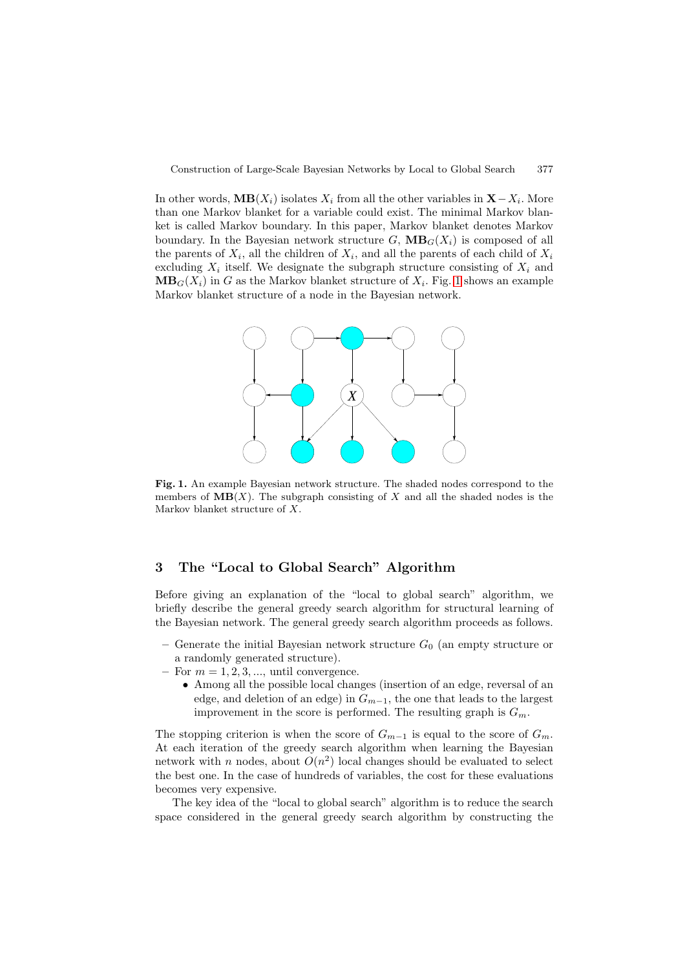In other words,  $MB(X_i)$  isolates  $X_i$  from all the other variables in  $X - X_i$ . More than one Markov blanket for a variable could exist. The minimal Markov blanket is called Markov boundary. In this paper, Markov blanket denotes Markov boundary. In the Bayesian network structure G,  $MB_G(X_i)$  is composed of all the parents of  $X_i$ , all the children of  $X_i$ , and all the parents of each child of  $X_i$ excluding  $X_i$  itself. We designate the subgraph structure consisting of  $X_i$  and  $MB_G(X_i)$  in G as the Markov blanket structure of  $X_i$ . Fig. 1 shows an example Markov blanket structure of a node in the Bayesian network.



**Fig. 1.** An example Bayesian network structure. The shaded nodes correspond to the members of  $MB(X)$ . The subgraph consisting of X and all the shaded nodes is the Markov blanket structure of X.

## **3 The "Local to Global Search" Algorithm**

Before giving an explanation of the "local to global search" algorithm, we briefly describe the general greedy search algorithm for structural learning of the Bayesian network. The general greedy search algorithm proceeds as follows.

- $-$  Generate the initial Bayesian network structure  $G_0$  (an empty structure or a randomly generated structure).
- $-$  For  $m = 1, 2, 3, \dots$ , until convergence.
	- Among all the possible local changes (insertion of an edge, reversal of an edge, and deletion of an edge) in  $G_{m-1}$ , the one that leads to the largest improvement in the score is performed. The resulting graph is  $G_m$ .

The stopping criterion is when the score of  $G_{m-1}$  is equal to the score of  $G_m$ . At each iteration of the greedy search algorithm when learning the Bayesian network with n nodes, about  $O(n^2)$  local changes should be evaluated to select the best one. In the case of hundreds of variables, the cost for these evaluations becomes very expensive.

The key idea of the "local to global search" algorithm is to reduce the search space considered in the general greedy search algorithm by constructing the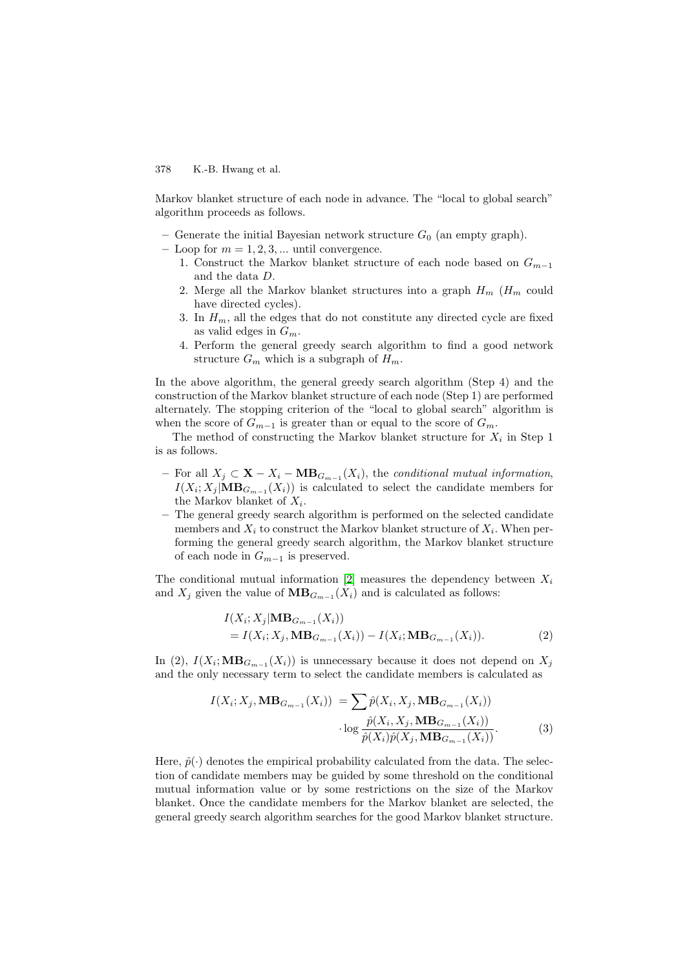Markov blanket structure of each node in advance. The "local to global search" algorithm proceeds as follows.

- Generate the initial Bayesian network structure  $G_0$  (an empty graph).
- $-$  Loop for  $m = 1, 2, 3, \dots$  until convergence.
	- 1. Construct the Markov blanket structure of each node based on  $G_{m-1}$ and the data D.
	- 2. Merge all the Markov blanket structures into a graph  $H_m$  ( $H_m$  could have directed cycles).
	- 3. In  $H_m$ , all the edges that do not constitute any directed cycle are fixed as valid edges in  $G_m$ .
	- 4. Perform the generalgreedy search algorithm to find a good network structure  $G_m$  which is a subgraph of  $H_m$ .

In the above algorithm, the general greedy search algorithm (Step 4) and the construction of the Markov blanket structure of each node (Step 1) are performed alternately. The stopping criterion of the "local to global search" algorithm is when the score of  $G_{m-1}$  is greater than or equal to the score of  $G_m$ .

The method of constructing the Markov blanket structure for  $X_i$  in Step 1 is as follows.

- **–** For all  $X_j$  ⊂ **X** −  $X_i$  − **MB**<sub> $G_{m-1}(X_i)$ , the conditional mutual information,</sub>  $I(X_i; X_j | MB_{G_{m-1}}(X_i))$  is calculated to select the candidate members for the Markov blanket of  $X_i$ .
- **–** The general greedy search algorithm is performed on the selected candidate members and  $X_i$  to construct the Markov blanket structure of  $X_i$ . When performing the general greedy search algorithm, the Markov blanket structure of each node in  $G_{m-1}$  is preserved.

The conditional mutual information [\[2\]](#page-8-0) measures the dependency between  $X_i$ and  $X_j$  given the value of  $MB_{G_{m-1}}(X_i)$  and is calculated as follows:

$$
I(X_i; X_j | \mathbf{MB}_{G_{m-1}}(X_i))
$$
  
=  $I(X_i; X_j, \mathbf{MB}_{G_{m-1}}(X_i)) - I(X_i; \mathbf{MB}_{G_{m-1}}(X_i)).$  (2)

In (2),  $I(X_i; \mathbf{MB}_{G_{m-1}}(X_i))$  is unnecessary because it does not depend on  $X_i$ and the only necessary term to select the candidate members is calculated as

$$
I(X_i; X_j, \mathbf{MB}_{G_{m-1}}(X_i)) = \sum \hat{p}(X_i, X_j, \mathbf{MB}_{G_{m-1}}(X_i))
$$

$$
\log \frac{\hat{p}(X_i, X_j, \mathbf{MB}_{G_{m-1}}(X_i))}{\hat{p}(X_i)\hat{p}(X_j, \mathbf{MB}_{G_{m-1}}(X_i))}.
$$
(3)

Here,  $\hat{p}(\cdot)$  denotes the empirical probability calculated from the data. The selection of candidate members may be guided by some threshold on the conditional mutualinformation value or by some restrictions on the size of the Markov blanket. Once the candidate members for the Markov blanket are selected, the general greedy search algorithm searches for the good Markov blanket structure.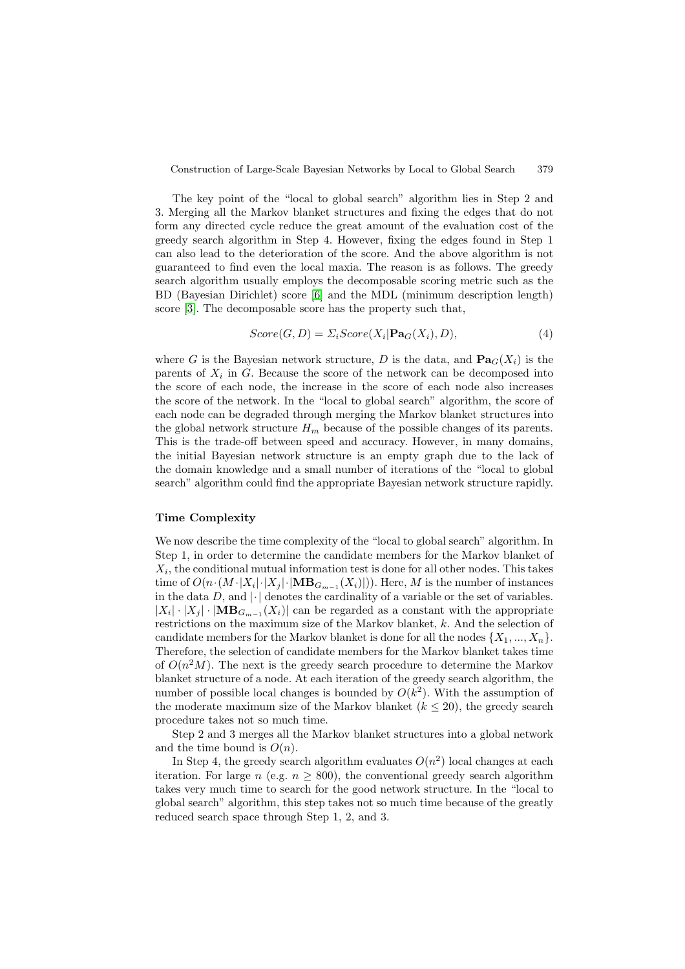The key point of the "local to global search" algorithm lies in Step 2 and 3. Merging all the Markov blanket structures and fixing the edges that do not form any directed cycle reduce the great amount of the evaluation cost of the greedy search algorithm in Step 4. However, fixing the edges found in Step 1 can also lead to the deterioration of the score. And the above algorithm is not guaranteed to find even the local maxia. The reason is as follows. The greedy search algorithm usually employs the decomposable scoring metric such as the BD (Bayesian Dirichlet) score [\[6\]](#page-9-0) and the MDL (minimum description length) score [\[3\]](#page-9-0). The decomposable score has the property such that,

$$
Score(G, D) = \sum_{i} Score(X_i | \mathbf{Pa}_G(X_i), D),
$$
\n(4)

where G is the Bayesian network structure, D is the data, and  $\textbf{Pa}_G(X_i)$  is the parents of  $X_i$  in G. Because the score of the network can be decomposed into the score of each node, the increase in the score of each node also increases the score of the network. In the "local to global search" algorithm, the score of each node can be degraded through merging the Markov blanket structures into the global network structure  $H_m$  because of the possible changes of its parents. This is the trade-off between speed and accuracy. However, in many domains, the initial Bayesian network structure is an empty graph due to the lack of the domain knowledge and a small number of iterations of the "local to global search" algorithm could find the appropriate Bayesian network structure rapidly.

#### **Time Complexity**

We now describe the time complexity of the "local to global search" algorithm. In Step 1, in order to determine the candidate members for the Markov blanket of  $X_i$ , the conditional mutual information test is done for all other nodes. This takes time of  $O(n \cdot (M \cdot |X_i| \cdot |X_j| \cdot |MB_{G_{m-1}}(X_i)|))$ . Here, M is the number of instances in the data  $D$ , and  $|\cdot|$  denotes the cardinality of a variable or the set of variables.  $|X_i|\cdot|X_j|\cdot|MB_{G_{m-1}}(X_i)|$  can be regarded as a constant with the appropriate restrictions on the maximum size of the Markov blanket, k. And the selection of candidate members for the Markov blanket is done for all the nodes  $\{X_1, ..., X_n\}$ . Therefore, the selection of candidate members for the Markov blanket takes time of  $O(n^2M)$ . The next is the greedy search procedure to determine the Markov blanket structure of a node. At each iteration of the greedy search algorithm, the number of possible local changes is bounded by  $O(k^2)$ . With the assumption of the moderate maximum size of the Markov blanket  $(k \leq 20)$ , the greedy search procedure takes not so much time.

Step 2 and 3 merges all the Markov blanket structures into a global network and the time bound is  $O(n)$ .

In Step 4, the greedy search algorithm evaluates  $O(n^2)$  local changes at each iteration. For large n (e.g.  $n \geq 800$ ), the conventional greedy search algorithm takes very much time to search for the good network structure. In the "local to global search" algorithm, this step takes not so much time because of the greatly reduced search space through Step 1, 2, and 3.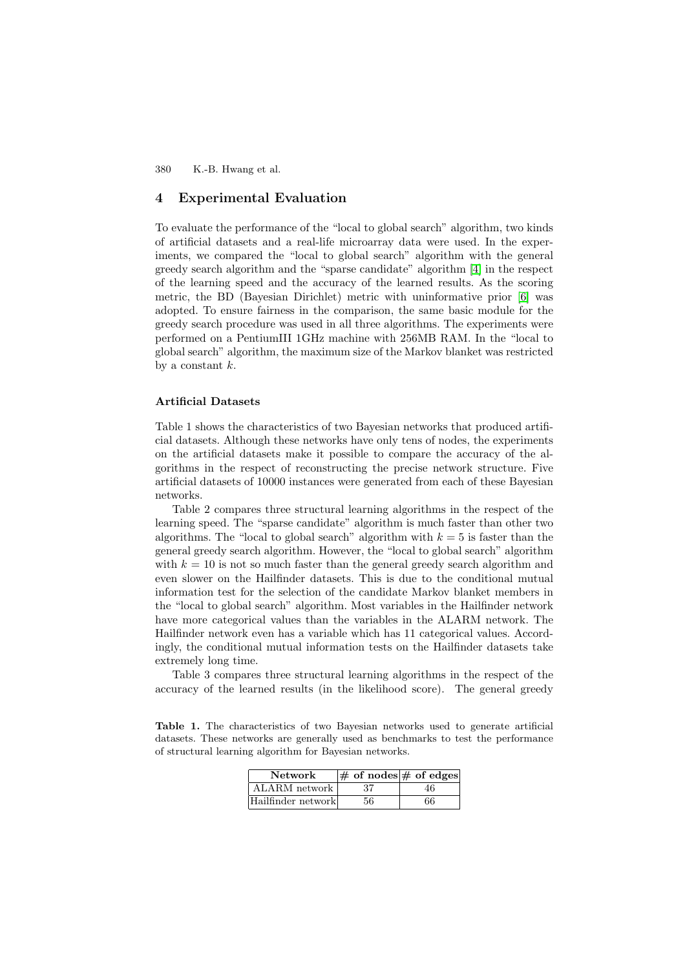### **4 Experimental Evaluation**

To evaluate the performance of the "local to global search" algorithm, two kinds of artificial datasets and a real-life microarray data were used. In the experiments, we compared the "local to global search" algorithm with the general greedy search algorithm and the "sparse candidate" algorithm [\[4\]](#page-9-0) in the respect of the learning speed and the accuracy of the learned results. As the scoring metric, the BD (Bayesian Dirichlet) metric with uninformative prior [\[6\]](#page-9-0) was adopted. To ensure fairness in the comparison, the same basic module for the greedy search procedure was used in all three algorithms. The experiments were performed on a PentiumIII 1GHz machine with 256MB RAM. In the "local to global search" algorithm, the maximum size of the Markov blanket was restricted by a constant  $k$ .

#### **Artificial Datasets**

Table 1 shows the characteristics of two Bayesian networks that produced artificial datasets. Although these networks have only tens of nodes, the experiments on the artificial datasets make it possible to compare the accuracy of the algorithms in the respect of reconstructing the precise network structure. Five artificial datasets of 10000 instances were generated from each of these Bayesian networks.

Table 2 compares three structural learning algorithms in the respect of the learning speed. The "sparse candidate" algorithm is much faster than other two algorithms. The "local to global search" algorithm with  $k = 5$  is faster than the general greedy search algorithm. However, the "local to global search" algorithm with  $k = 10$  is not so much faster than the general greedy search algorithm and even slower on the Hailfinder datasets. This is due to the conditional mutual information test for the selection of the candidate Markov blanket members in the "local to global search" algorithm. Most variables in the Hailfinder network have more categorical values than the variables in the ALARM network. The Hailfinder network even has a variable which has 11 categorical values. Accordingly, the conditional mutual information tests on the Hailfinder datasets take extremely long time.

Table 3 compares three structural learning algorithms in the respect of the accuracy of the learned results (in the likelihood score). The general greedy

|  | <b>Table 1.</b> The characteristics of two Bayesian networks used to generate artificial |  |  |  |  |
|--|------------------------------------------------------------------------------------------|--|--|--|--|
|  | datasets. These networks are generally used as benchmarks to test the performance        |  |  |  |  |
|  | of structural learning algorithm for Bayesian networks.                                  |  |  |  |  |

| Network            | $\vert \#$ of nodes $\vert \#$ of edges |  |
|--------------------|-----------------------------------------|--|
| ALARM network      |                                         |  |
| Hailfinder network |                                         |  |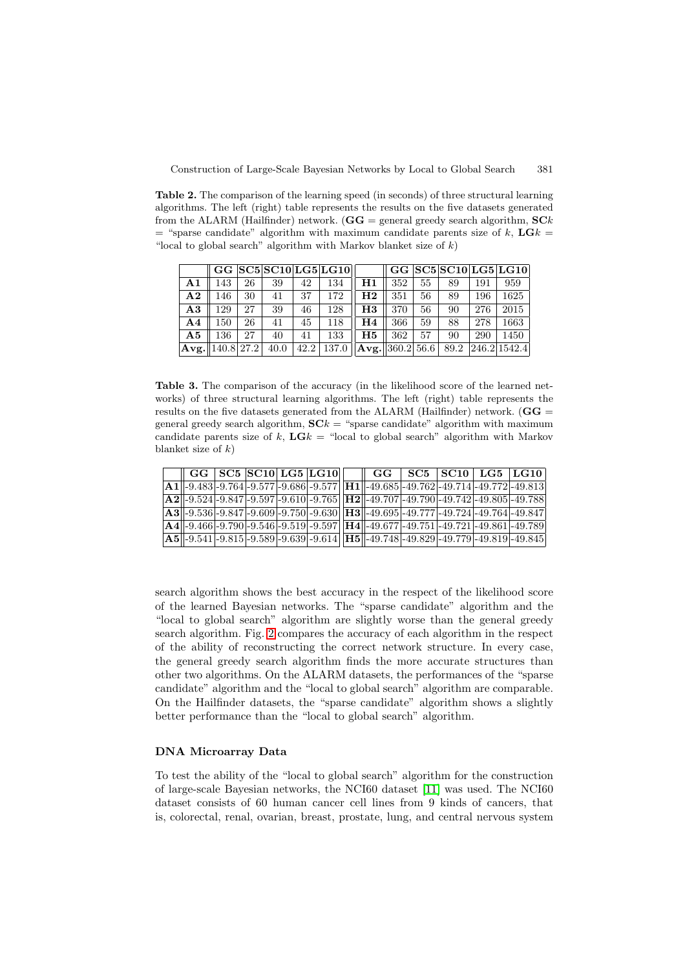**Table 2.** The comparison of the learning speed (in seconds) of three structural learning algorithms. The left (right) table represents the results on the five datasets generated from the ALARM (Hailfinder) network.  $(GG = \text{general greedy search algorithm}, SCk)$  $=$  "sparse candidate" algorithm with maximum candidate parents size of k,  $\mathbf{L}Gk =$ "local to global search" algorithm with Markov blanket size of  $k$ )

|                  |     |    |      |    | $GG$ $SC5$ $SC10$ $LG5$ $LG10$                       |           |     |    |     |      | $GG$ $SC5$ $SC10$ $LG5$ $LG10$ |
|------------------|-----|----|------|----|------------------------------------------------------|-----------|-----|----|-----|------|--------------------------------|
| $\mathbf{A1}$    | 143 | 26 | 39   | 42 | 134                                                  | H1        | 352 | 55 | 89  | -191 | 959                            |
| $\bf{A2}$        | 146 | 30 | 41   | 37 | 172                                                  | H2        | 351 | 56 | 89  | 196  | 1625                           |
| A3               | 129 | 27 | 39   | 46 | 128                                                  | H3        | 370 | 56 | 90  | 276  | 2015                           |
| A4               | 150 | 26 | 41   | 45 | 118                                                  | <b>H4</b> | 366 | 59 | 88  | 278  | 1663                           |
| A5               | 136 | 27 | 40   | 41 | 133                                                  | H5        | 362 | 57 | -90 | 290  | 1450                           |
| Avg.  140.8 27.2 |     |    | 40.0 |    | 42.2   137.0   $ Avg.  360.2 56.6 89.2 246.2 1542.4$ |           |     |    |     |      |                                |

**Table 3.** The comparison of the accuracy (in the likelihood score of the learned networks) of three structural learning algorithms. The left (right) table represents the results on the five datasets generated from the ALARM (Hailfinder) network. (**GG** = general greedy search algorithm,  $\mathbf{SC}k =$  "sparse candidate" algorithm with maximum candidate parents size of k,  $\mathbf{L}Gk =$  "local to global search" algorithm with Markov blanket size of  $k$ )

|  |  | $\parallel$ GG $\mid$ SC5 $\mid$ SC10 $\mid$ LG5 $\mid$ LG10 $\mid$ | $\parallel$ GG $\parallel$ SC5 $\parallel$ SC10 $\parallel$ LG5 $\parallel$ LG10                                                |  |  |
|--|--|---------------------------------------------------------------------|---------------------------------------------------------------------------------------------------------------------------------|--|--|
|  |  |                                                                     | $\mathbf{A1}$   -9.483 -9.764 -9.577 -9.686 -9.577   $\mathbf{H1}$   -49.685 -49.762 -49.714 -49.772 -49.813                    |  |  |
|  |  |                                                                     | $ {\bf A2} $ -9.524 -9.847 -9.597 -9.610 -9.765 $ {\bf H2} $ -49.707 -49.790 -49.742 -49.805 -49.788                            |  |  |
|  |  |                                                                     | $\textbf{A3}$ - 9.536 - 9.847 - 9.609 - 9.750 - 9.630 $\textbf{H3}$ - 49.695 - 49.777 - 49.724 - 49.764 - 49.847                |  |  |
|  |  |                                                                     | $\mathbf{A4}$ -9.466 -9.790 -9.546 -9.519 -9.597 $\mathbf{H4}$ -49.677 -49.751 -49.721 -49.861 -49.789                          |  |  |
|  |  |                                                                     | $ \mathbf{A5}  -9.541 -9.815 -9.\overline{589} -9.639 -9.614 \overline{ \mathbf{H5}  -49.748} -49.829 -49.779 -49.819 -49.845 $ |  |  |

search algorithm shows the best accuracy in the respect of the likelihood score of the learned Bayesian networks. The "sparse candidate" algorithm and the "local to global search" algorithm are slightly worse than the general greedy search algorithm. Fig. [2](#page-7-0) compares the accuracy of each algorithm in the respect of the ability of reconstructing the correct network structure. In every case, the general greedy search algorithm finds the more accurate structures than other two algorithms. On the ALARM datasets, the performances of the "sparse candidate" algorithm and the "local to global search" algorithm are comparable. On the Hailfinder datasets, the "sparse candidate" algorithm shows a slightly better performance than the "local to global search" algorithm.

#### **DNA Microarray Data**

To test the ability of the "local to global search" algorithm for the construction of large-scale Bayesian networks, the NCI60 dataset [\[11\]](#page-9-0) was used. The NCI60 dataset consists of 60 human cancer cell lines from 9 kinds of cancers, that is, colorectal, renal, ovarian, breast, prostate, lung, and central nervous system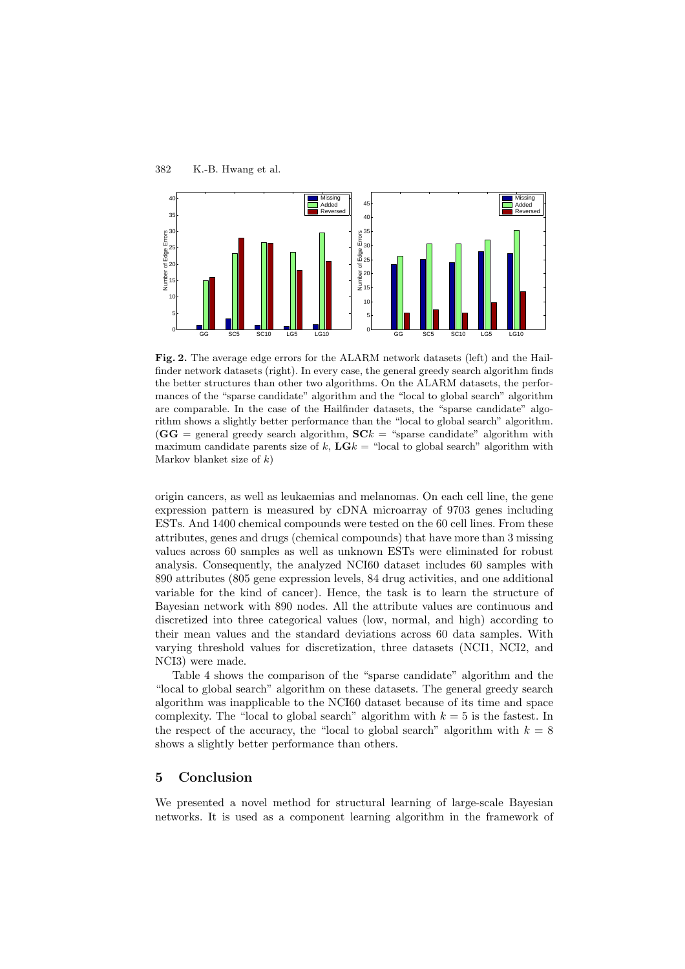<span id="page-7-0"></span>

**Fig. 2.** The average edge errors for the ALARM network datasets (left) and the Hailfinder network datasets (right). In every case, the general greedy search algorithm finds the better structures than other two algorithms. On the ALARM datasets, the performances of the "sparse candidate" algorithm and the "local to global search" algorithm are comparable. In the case of the Hailfinder datasets, the "sparse candidate" algorithm shows a slightly better performance than the "local to global search" algorithm.  $(GG = \text{general greedy search algorithm}, SCk = \text{``sparse candidate'' algorithm with}$ maximum candidate parents size of k,  $\mathbf{L} \mathbf{G} k =$  "local to global search" algorithm with Markov blanket size of  $k$ )

origin cancers, as well as leukaemias and melanomas. On each cell line, the gene expression pattern is measured by cDNA microarray of 9703 genes including ESTs. And 1400 chemical compounds were tested on the 60 cell lines. From these attributes, genes and drugs (chemicalcompounds) that have more than 3 missing values across 60 samples as well as unknown ESTs were eliminated for robust analysis. Consequently, the analyzed NCI60 dataset includes 60 samples with 890 attributes (805 gene expression levels, 84 drug activities, and one additional variable for the kind of cancer). Hence, the task is to learn the structure of Bayesian network with 890 nodes. All the attribute values are continuous and discretized into three categorical values (low, normal, and high) according to their mean values and the standard deviations across 60 data samples. With varying threshold values for discretization, three datasets (NCI1, NCI2, and NCI3) were made.

Table 4 shows the comparison of the "sparse candidate" algorithm and the "local to global search" algorithm on these datasets. The general greedy search algorithm was inapplicable to the NCI60 dataset because of its time and space complexity. The "local to global search" algorithm with  $k = 5$  is the fastest. In the respect of the accuracy, the "local to global search" algorithm with  $k = 8$ shows a slightly better performance than others.

## **5 Conclusion**

We presented a novel method for structural learning of large-scale Bayesian networks. It is used as a component learning algorithm in the framework of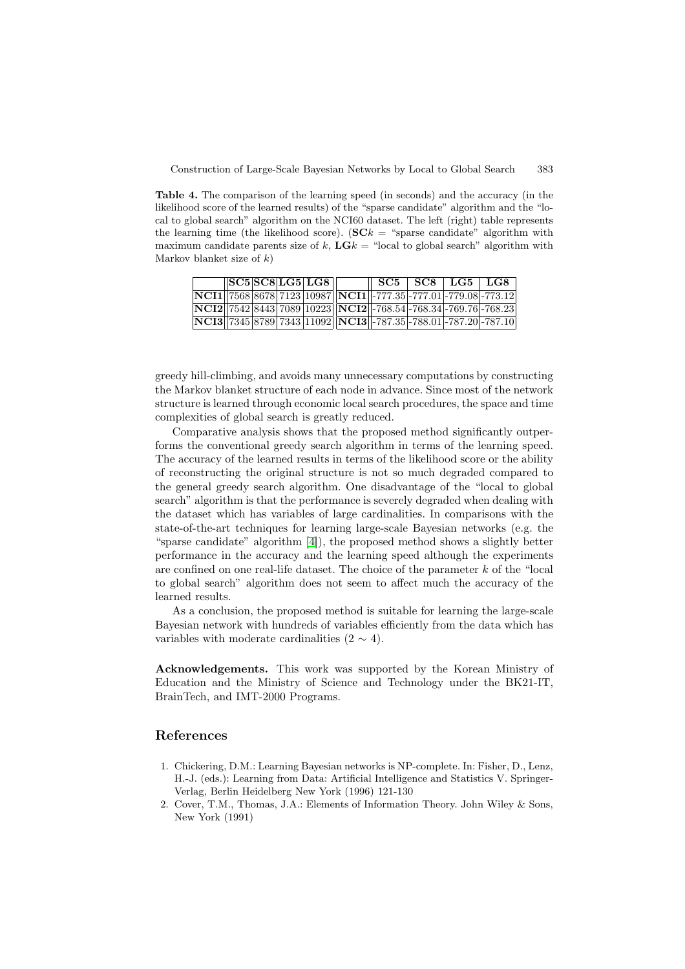<span id="page-8-0"></span>**Table 4.** The comparison of the learning speed (in seconds) and the accuracy (in the likelihood score of the learned results) of the "sparse candidate" algorithm and the "local to global search" algorithm on the NCI60 dataset. The left (right) table represents the learning time (the likelihood score).  $({\bf SC}k =$  "sparse candidate" algorithm with maximum candidate parents size of k,  $\mathbf{L}Gk =$  "local to global search" algorithm with Markov blanket size of  $k$ )

|  |  | SC5 SC8 LG5 LG8 |                                                                                                                                                | $SC5$   $SC8$   $LG5$   $LG8$ |  |
|--|--|-----------------|------------------------------------------------------------------------------------------------------------------------------------------------|-------------------------------|--|
|  |  |                 | $\vert \textbf{NCI1} \vert \vert 7568 \vert 8678 \vert 7123 \vert 10987 \vert \vert \textbf{NCI1} \vert \vert$ -777.35 -777.01 -779.08 -773.12 |                               |  |
|  |  |                 | $\left \textbf{NCI2}\right \right $ 7542 8443 7089 10223 $\left \textbf{NCI2}\right $ -768.54 -768.34 -769.76 -768.23                          |                               |  |
|  |  |                 | $\overline{\textbf{NCI3}\ 7345\ 8789\ 7343\ 11092}\ \overline{\textbf{NCI3}\ }\text{-}787.35\text{-}788.01\text{-}787.20\text{-}787.10}$       |                               |  |

greedy hill-climbing, and avoids many unnecessary computations by constructing the Markov blanket structure of each node in advance. Since most of the network structure is learned through economic local search procedures, the space and time complexities of global search is greatly reduced.

Comparative analysis shows that the proposed method significantly outperforms the conventional greedy search algorithm in terms of the learning speed. The accuracy of the learned results in terms of the likelihood score or the ability of reconstructing the originalstructure is not so much degraded compared to the general greedy search algorithm. One disadvantage of the "local to global search" algorithm is that the performance is severely degraded when dealing with the dataset which has variables of large cardinalities. In comparisons with the state-of-the-art techniques for learning large-scale Bayesian networks (e.g. the "sparse candidate" algorithm [\[4\]](#page-9-0)), the proposed method shows a slightly better performance in the accuracy and the learning speed although the experiments are confined on one real-life dataset. The choice of the parameter  $k$  of the "local to global search" algorithm does not seem to affect much the accuracy of the learned results.

As a conclusion, the proposed method is suitable for learning the large-scale Bayesian network with hundreds of variables efficiently from the data which has variables with moderate cardinalities  $(2 \sim 4)$ .

**Acknowledgements.** This work was supported by the Korean Ministry of Education and the Ministry of Science and Technology under the BK21-IT, BrainTech, and IMT-2000 Programs.

#### **References**

- 1. Chickering, D.M.: Learning Bayesian networks is NP-complete. In: Fisher, D., Lenz, H.-J. (eds.): Learning from Data: Artificial Intelligence and Statistics V. Springer-Verlag, Berlin Heidelberg New York (1996) 121-130
- 2. Cover, T.M., Thomas, J.A.: Elements of Information Theory. John Wiley & Sons, New York (1991)